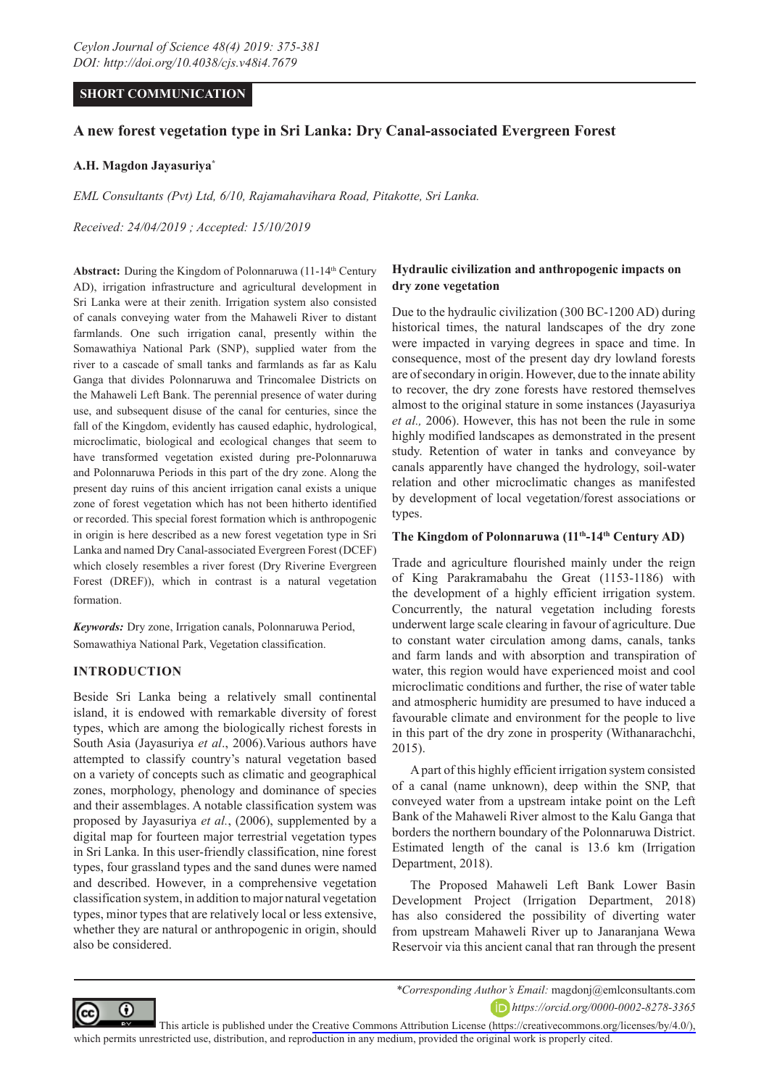## **SHORT COMMUNICATION**

# **A new forest vegetation type in Sri Lanka: Dry Canal-associated Evergreen Forest**

### **A.H. Magdon Jayasuriya\***

*EML Consultants (Pvt) Ltd, 6/10, Rajamahavihara Road, Pitakotte, Sri Lanka.* 

*Received: 24/04/2019 ; Accepted: 15/10/2019*

Abstract: During the Kingdom of Polonnaruwa (11-14<sup>th</sup> Century AD), irrigation infrastructure and agricultural development in Sri Lanka were at their zenith. Irrigation system also consisted of canals conveying water from the Mahaweli River to distant farmlands. One such irrigation canal, presently within the Somawathiya National Park (SNP), supplied water from the river to a cascade of small tanks and farmlands as far as Kalu Ganga that divides Polonnaruwa and Trincomalee Districts on the Mahaweli Left Bank. The perennial presence of water during use, and subsequent disuse of the canal for centuries, since the fall of the Kingdom, evidently has caused edaphic, hydrological, microclimatic, biological and ecological changes that seem to have transformed vegetation existed during pre-Polonnaruwa and Polonnaruwa Periods in this part of the dry zone. Along the present day ruins of this ancient irrigation canal exists a unique zone of forest vegetation which has not been hitherto identified or recorded. This special forest formation which is anthropogenic in origin is here described as a new forest vegetation type in Sri Lanka and named Dry Canal-associated Evergreen Forest (DCEF) which closely resembles a river forest (Dry Riverine Evergreen Forest (DREF)), which in contrast is a natural vegetation formation.

*Keywords:* Dry zone, Irrigation canals, Polonnaruwa Period, Somawathiya National Park, Vegetation classification.

### **INTRODUCTION**

Beside Sri Lanka being a relatively small continental island, it is endowed with remarkable diversity of forest types, which are among the biologically richest forests in South Asia (Jayasuriya *et al*., 2006).Various authors have attempted to classify country's natural vegetation based on a variety of concepts such as climatic and geographical zones, morphology, phenology and dominance of species and their assemblages. A notable classification system was proposed by Jayasuriya *et al.*, (2006), supplemented by a digital map for fourteen major terrestrial vegetation types in Sri Lanka. In this user-friendly classification, nine forest types, four grassland types and the sand dunes were named and described. However, in a comprehensive vegetation classification system, in addition to major natural vegetation types, minor types that are relatively local or less extensive, whether they are natural or anthropogenic in origin, should also be considered.

## **Hydraulic civilization and anthropogenic impacts on dry zone vegetation**

Due to the hydraulic civilization (300 BC-1200 AD) during historical times, the natural landscapes of the dry zone were impacted in varying degrees in space and time. In consequence, most of the present day dry lowland forests are of secondary in origin. However, due to the innate ability to recover, the dry zone forests have restored themselves almost to the original stature in some instances (Jayasuriya *et al.,* 2006). However, this has not been the rule in some highly modified landscapes as demonstrated in the present study. Retention of water in tanks and conveyance by canals apparently have changed the hydrology, soil-water relation and other microclimatic changes as manifested by development of local vegetation/forest associations or types.

#### The Kingdom of Polonnaruwa (11<sup>th</sup>-14<sup>th</sup> Century AD)

Trade and agriculture flourished mainly under the reign of King Parakramabahu the Great (1153-1186) with the development of a highly efficient irrigation system. Concurrently, the natural vegetation including forests underwent large scale clearing in favour of agriculture. Due to constant water circulation among dams, canals, tanks and farm lands and with absorption and transpiration of water, this region would have experienced moist and cool microclimatic conditions and further, the rise of water table and atmospheric humidity are presumed to have induced a favourable climate and environment for the people to live in this part of the dry zone in prosperity (Withanarachchi, 2015).

A part of this highly efficient irrigation system consisted of a canal (name unknown), deep within the SNP, that conveyed water from a upstream intake point on the Left Bank of the Mahaweli River almost to the Kalu Ganga that borders the northern boundary of the Polonnaruwa District. Estimated length of the canal is 13.6 km (Irrigation Department, 2018).

The Proposed Mahaweli Left Bank Lower Basin Development Project (Irrigation Department, 2018) has also considered the possibility of diverting water from upstream Mahaweli River up to Janaranjana Wewa Reservoir via this ancient canal that ran through the present



*https://orcid.org/0000-0002-8278-3365*

This article is published under the [Creative Commons Attribution License \(https://creativecommons.org/licenses/by/4.0/\),](https://creativecommons.org/licenses/by/4.0/)  which permits unrestricted use, distribution, and reproduction in any medium, provided the original work is properly cited.

*<sup>\*</sup>Corresponding Author's Email:* magdonj@emlconsultants.com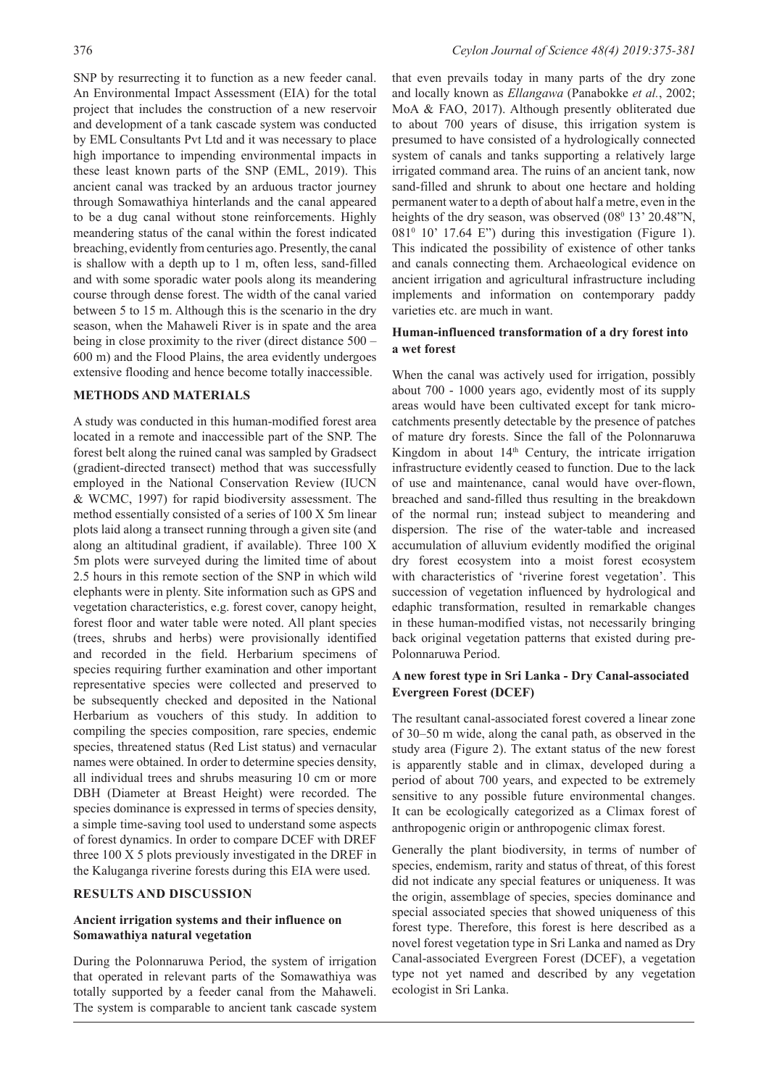SNP by resurrecting it to function as a new feeder canal. An Environmental Impact Assessment (EIA) for the total project that includes the construction of a new reservoir and development of a tank cascade system was conducted by EML Consultants Pvt Ltd and it was necessary to place high importance to impending environmental impacts in these least known parts of the SNP (EML, 2019). This ancient canal was tracked by an arduous tractor journey through Somawathiya hinterlands and the canal appeared to be a dug canal without stone reinforcements. Highly meandering status of the canal within the forest indicated breaching, evidently from centuries ago. Presently, the canal is shallow with a depth up to 1 m, often less, sand-filled and with some sporadic water pools along its meandering course through dense forest. The width of the canal varied between 5 to 15 m. Although this is the scenario in the dry season, when the Mahaweli River is in spate and the area being in close proximity to the river (direct distance 500 – 600 m) and the Flood Plains, the area evidently undergoes extensive flooding and hence become totally inaccessible.

## **METHODS AND MATERIALS**

A study was conducted in this human-modified forest area located in a remote and inaccessible part of the SNP. The forest belt along the ruined canal was sampled by Gradsect (gradient-directed transect) method that was successfully employed in the National Conservation Review (IUCN & WCMC, 1997) for rapid biodiversity assessment. The method essentially consisted of a series of 100 X 5m linear plots laid along a transect running through a given site (and along an altitudinal gradient, if available). Three 100 X 5m plots were surveyed during the limited time of about 2.5 hours in this remote section of the SNP in which wild elephants were in plenty. Site information such as GPS and vegetation characteristics, e.g. forest cover, canopy height, forest floor and water table were noted. All plant species (trees, shrubs and herbs) were provisionally identified and recorded in the field. Herbarium specimens of species requiring further examination and other important representative species were collected and preserved to be subsequently checked and deposited in the National Herbarium as vouchers of this study. In addition to compiling the species composition, rare species, endemic species, threatened status (Red List status) and vernacular names were obtained. In order to determine species density, all individual trees and shrubs measuring 10 cm or more DBH (Diameter at Breast Height) were recorded. The species dominance is expressed in terms of species density, a simple time-saving tool used to understand some aspects of forest dynamics. In order to compare DCEF with DREF three 100 X 5 plots previously investigated in the DREF in the Kaluganga riverine forests during this EIA were used.

### **RESULTS AND DISCUSSION**

### **Ancient irrigation systems and their influence on Somawathiya natural vegetation**

During the Polonnaruwa Period, the system of irrigation that operated in relevant parts of the Somawathiya was totally supported by a feeder canal from the Mahaweli. The system is comparable to ancient tank cascade system

that even prevails today in many parts of the dry zone and locally known as *Ellangawa* (Panabokke *et al.*, 2002; MoA & FAO, 2017). Although presently obliterated due to about 700 years of disuse, this irrigation system is presumed to have consisted of a hydrologically connected system of canals and tanks supporting a relatively large irrigated command area. The ruins of an ancient tank, now sand-filled and shrunk to about one hectare and holding permanent water to a depth of about half a metre, even in the heights of the dry season, was observed (08<sup>0</sup> 13' 20.48"N,  $081<sup>0</sup>$  10' 17.64 E") during this investigation (Figure 1). This indicated the possibility of existence of other tanks and canals connecting them. Archaeological evidence on ancient irrigation and agricultural infrastructure including implements and information on contemporary paddy varieties etc. are much in want.

## **Human-influenced transformation of a dry forest into a wet forest**

When the canal was actively used for irrigation, possibly about 700 - 1000 years ago, evidently most of its supply areas would have been cultivated except for tank microcatchments presently detectable by the presence of patches of mature dry forests. Since the fall of the Polonnaruwa Kingdom in about  $14<sup>th</sup>$  Century, the intricate irrigation infrastructure evidently ceased to function. Due to the lack of use and maintenance, canal would have over-flown, breached and sand-filled thus resulting in the breakdown of the normal run; instead subject to meandering and dispersion. The rise of the water-table and increased accumulation of alluvium evidently modified the original dry forest ecosystem into a moist forest ecosystem with characteristics of 'riverine forest vegetation'. This succession of vegetation influenced by hydrological and edaphic transformation, resulted in remarkable changes in these human-modified vistas, not necessarily bringing back original vegetation patterns that existed during pre-Polonnaruwa Period.

## **A new forest type in Sri Lanka - Dry Canal-associated Evergreen Forest (DCEF)**

The resultant canal-associated forest covered a linear zone of 30–50 m wide, along the canal path, as observed in the study area (Figure 2). The extant status of the new forest is apparently stable and in climax, developed during a period of about 700 years, and expected to be extremely sensitive to any possible future environmental changes. It can be ecologically categorized as a Climax forest of anthropogenic origin or anthropogenic climax forest.

Generally the plant biodiversity, in terms of number of species, endemism, rarity and status of threat, of this forest did not indicate any special features or uniqueness. It was the origin, assemblage of species, species dominance and special associated species that showed uniqueness of this forest type. Therefore, this forest is here described as a novel forest vegetation type in Sri Lanka and named as Dry Canal-associated Evergreen Forest (DCEF), a vegetation type not yet named and described by any vegetation ecologist in Sri Lanka.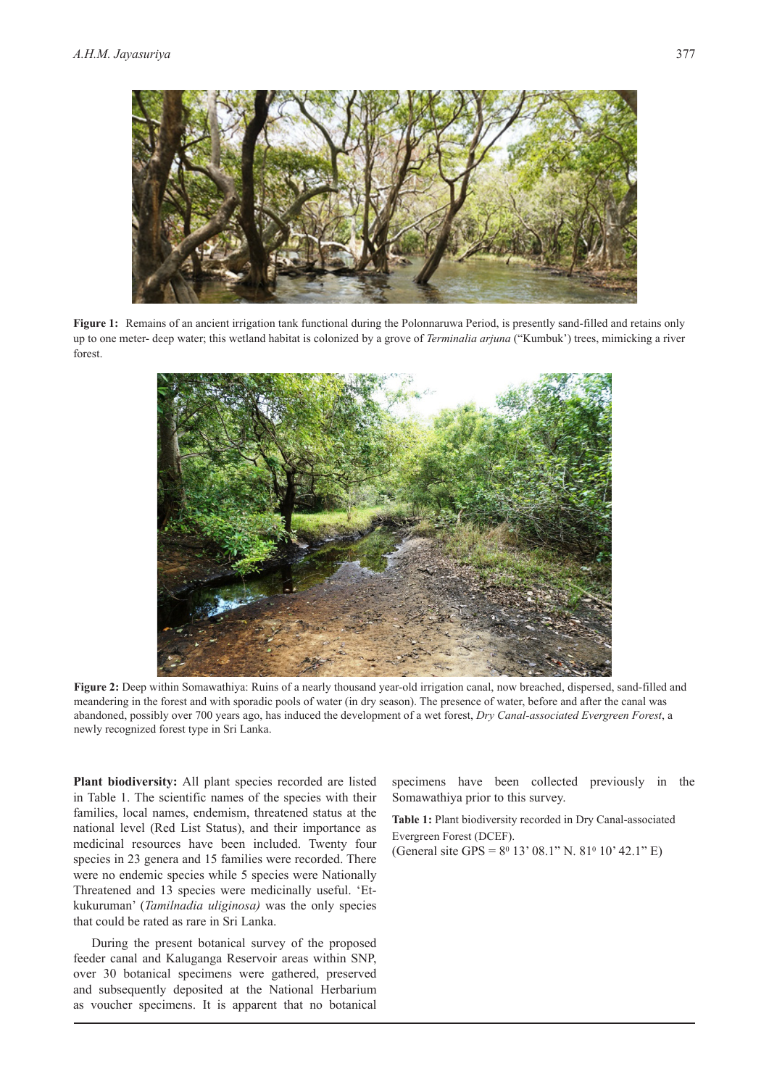

Figure 1: Remains of an ancient irrigation tank functional during the Polonnaruwa Period, is presently sand-filled and retains only up to one meter- deep water; this wetland habitat is colonized by a grove of *Terminalia arjuna* ("Kumbuk') trees, mimicking a river forest.



Figure 2: Deep within Somawathiya: Ruins of a nearly thousand year-old irrigation canal, now breached, dispersed, sand-filled and meandering in the forest and with sporadic pools of water (in dry season). The presence of water, before and after the canal was abandoned, possibly over 700 years ago, has induced the development of a wet forest, *Dry Canal-associated Evergreen Forest*, a newly recognized forest type in Sri Lanka.

**Plant biodiversity:** All plant species recorded are listed in Table 1. The scientific names of the species with their families, local names, endemism, threatened status at the national level (Red List Status), and their importance as medicinal resources have been included. Twenty four species in 23 genera and 15 families were recorded. There were no endemic species while 5 species were Nationally Threatened and 13 species were medicinally useful. 'Etkukuruman' (*Tamilnadia uliginosa)* was the only species that could be rated as rare in Sri Lanka.

During the present botanical survey of the proposed feeder canal and Kaluganga Reservoir areas within SNP, over 30 botanical specimens were gathered, preserved and subsequently deposited at the National Herbarium as voucher specimens. It is apparent that no botanical

specimens have been collected previously in the Somawathiya prior to this survey.

**Table 1:** Plant biodiversity recorded in Dry Canal-associated Evergreen Forest (DCEF). (General site GPS =  $8^{\circ}$  13' 08.1" N. 81<sup>°</sup> 10' 42.1" E)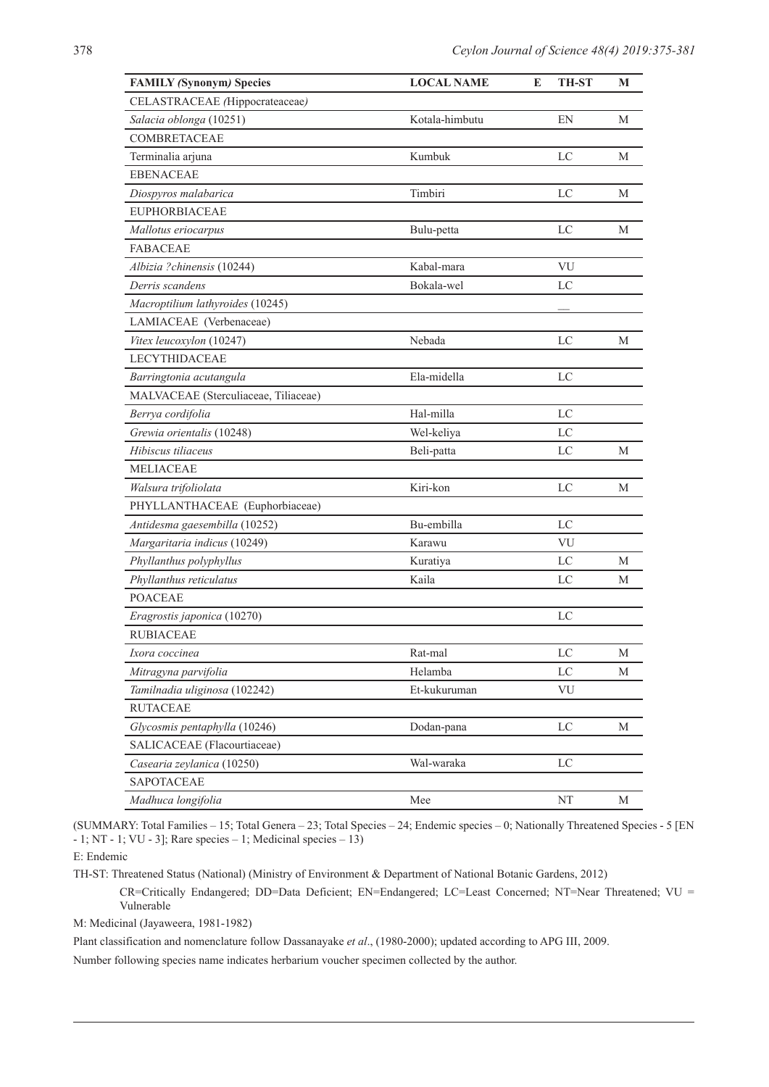| <b>FAMILY (Synonym) Species</b>      | <b>LOCAL NAME</b> | E<br><b>TH-ST</b> | M |
|--------------------------------------|-------------------|-------------------|---|
| CELASTRACEAE (Hippocrateaceae)       |                   |                   |   |
| Salacia oblonga (10251)              | Kotala-himbutu    | EN                | М |
| <b>COMBRETACEAE</b>                  |                   |                   |   |
| Terminalia arjuna                    | Kumbuk            | LC                | М |
| <b>EBENACEAE</b>                     |                   |                   |   |
| Diospyros malabarica                 | Timbiri           | LC                | M |
| <b>EUPHORBIACEAE</b>                 |                   |                   |   |
| Mallotus eriocarpus                  | Bulu-petta        | LC                | М |
| <b>FABACEAE</b>                      |                   |                   |   |
| Albizia ?chinensis (10244)           | Kabal-mara        | VU                |   |
| Derris scandens                      | Bokala-wel        | LC                |   |
| Macroptilium lathyroides (10245)     |                   |                   |   |
| LAMIACEAE (Verbenaceae)              |                   |                   |   |
| Vitex leucoxylon (10247)             | Nebada            | LC                | M |
| <b>LECYTHIDACEAE</b>                 |                   |                   |   |
| Barringtonia acutangula              | Ela-midella       | LC                |   |
| MALVACEAE (Sterculiaceae, Tiliaceae) |                   |                   |   |
| Berrya cordifolia                    | Hal-milla         | LC                |   |
| Grewia orientalis (10248)            | Wel-keliya        | LC                |   |
| Hibiscus tiliaceus                   | Beli-patta        | LC                | M |
| <b>MELIACEAE</b>                     |                   |                   |   |
| Walsura trifoliolata                 | Kiri-kon          | LC                | M |
| PHYLLANTHACEAE (Euphorbiaceae)       |                   |                   |   |
| Antidesma gaesembilla (10252)        | Bu-embilla        | LC                |   |
| Margaritaria indicus (10249)         | Karawu            | VU                |   |
| Phyllanthus polyphyllus              | Kuratiya          | LC                | М |
| Phyllanthus reticulatus              | Kaila             | LC                | М |
| <b>POACEAE</b>                       |                   |                   |   |
| Eragrostis japonica (10270)          |                   | LC                |   |
| <b>RUBIACEAE</b>                     |                   |                   |   |
| Ixora coccinea                       | Rat-mal           | LC                | М |
| Mitragyna parvifolia                 | Helamba           | $_{\rm LC}$       | M |
| Tamilnadia uliginosa (102242)        | Et-kukuruman      | VU                |   |
| <b>RUTACEAE</b>                      |                   |                   |   |
| Glycosmis pentaphylla (10246)        | Dodan-pana        | LC                | М |
| SALICACEAE (Flacourtiaceae)          |                   |                   |   |
| Casearia zeylanica (10250)           | Wal-waraka        | LC                |   |
| SAPOTACEAE                           |                   |                   |   |
| Madhuca longifolia                   | Mee               | NT                | М |

(SUMMARY: Total Families – 15; Total Genera – 23; Total Species – 24; Endemic species – 0; Nationally Threatened Species - 5 [EN  $-1$ ; NT  $-1$ ; VU  $-3$ ]; Rare species  $-1$ ; Medicinal species  $-13$ )

E: Endemic

TH-ST: Threatened Status (National) (Ministry of Environment & Department of National Botanic Gardens, 2012)

CR=Critically Endangered; DD=Data Deficient; EN=Endangered; LC=Least Concerned; NT=Near Threatened; VU = Vulnerable

M: Medicinal (Jayaweera, 1981-1982)

Plant classification and nomenclature follow Dassanayake *et al*., (1980-2000); updated according to APG III, 2009.

Number following species name indicates herbarium voucher specimen collected by the author.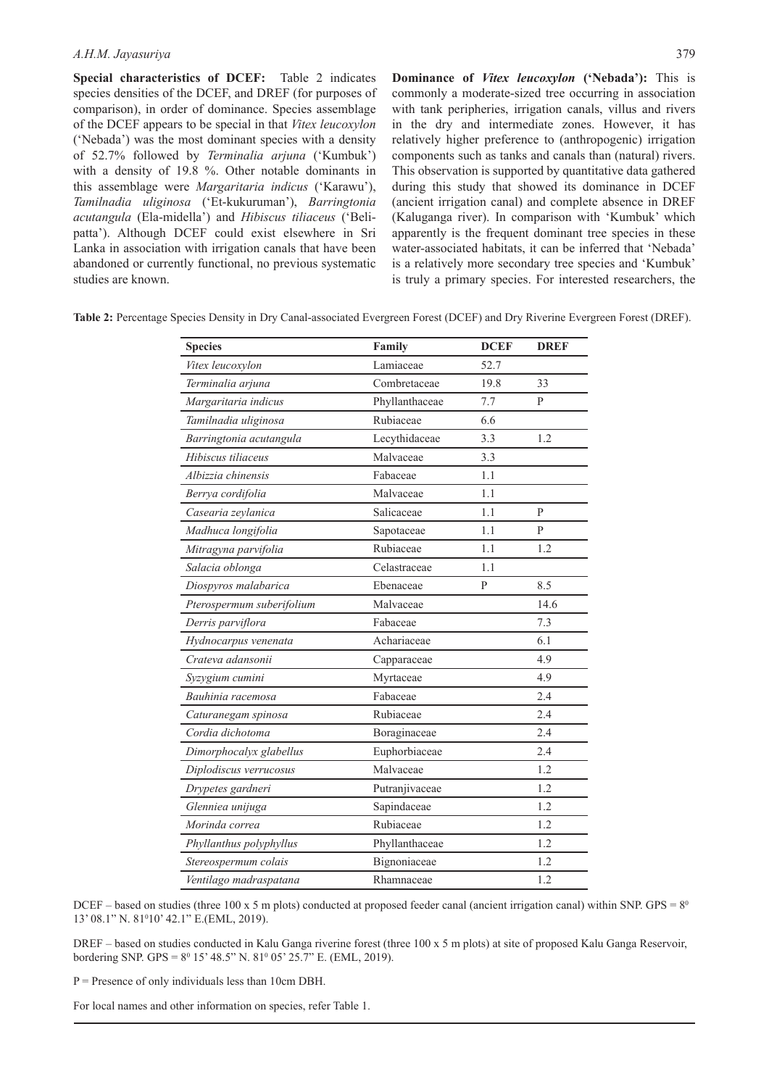**Special characteristics of DCEF:** Table 2 indicates species densities of the DCEF, and DREF (for purposes of comparison), in order of dominance. Species assemblage of the DCEF appears to be special in that *Vitex leucoxylon*  ('Nebada') was the most dominant species with a density of 52.7% followed by *Terminalia arjuna* ('Kumbuk') with a density of 19.8 %. Other notable dominants in this assemblage were *Margaritaria indicus* ('Karawu'), *Tamilnadia uliginosa* ('Et-kukuruman'), *Barringtonia acutangula* (Ela-midella') and *Hibiscus tiliaceus* ('Belipatta'). Although DCEF could exist elsewhere in Sri Lanka in association with irrigation canals that have been abandoned or currently functional, no previous systematic studies are known.

**Dominance of** *Vitex leucoxylon* **('Nebada'):** This is commonly a moderate-sized tree occurring in association with tank peripheries, irrigation canals, villus and rivers in the dry and intermediate zones. However, it has relatively higher preference to (anthropogenic) irrigation components such as tanks and canals than (natural) rivers. This observation is supported by quantitative data gathered during this study that showed its dominance in DCEF (ancient irrigation canal) and complete absence in DREF (Kaluganga river). In comparison with 'Kumbuk' which apparently is the frequent dominant tree species in these water-associated habitats, it can be inferred that 'Nebada' is a relatively more secondary tree species and 'Kumbuk' is truly a primary species. For interested researchers, the

| <b>Species</b>            | Family         | <b>DCEF</b> | <b>DREF</b>    |
|---------------------------|----------------|-------------|----------------|
| Vitex leucoxylon          | Lamiaceae      | 52.7        |                |
| Terminalia arjuna         | Combretaceae   | 19.8        | 33             |
| Margaritaria indicus      | Phyllanthaceae | 7.7         | P              |
| Tamilnadia uliginosa      | Rubiaceae      | 6.6         |                |
| Barringtonia acutangula   | Lecythidaceae  | 3.3         | 1.2            |
| Hibiscus tiliaceus        | Malvaceae      | 3.3         |                |
| Albizzia chinensis        | Fabaceae       | 1.1         |                |
| Berrya cordifolia         | Malvaceae      | 1.1         |                |
| Casearia zeylanica        | Salicaceae     | 1.1         | P              |
| Madhuca longifolia        | Sapotaceae     | 1.1         | $\overline{P}$ |
| Mitragyna parvifolia      | Rubiaceae      | 1.1         | 1.2            |
| Salacia oblonga           | Celastraceae   | 1.1         |                |
| Diospyros malabarica      | Ebenaceae      | P           | 8.5            |
| Pterospermum suberifolium | Malvaceae      |             | 14.6           |
| Derris parviflora         | Fabaceae       |             | 7.3            |
| Hydnocarpus venenata      | Achariaceae    |             | 6.1            |
| Crateva adansonii         | Capparaceae    |             | 4.9            |
| Syzygium cumini           | Myrtaceae      |             | 4.9            |
| Bauhinia racemosa         | Fabaceae       |             | 2.4            |
| Caturanegam spinosa       | Rubiaceae      |             | 2.4            |
| Cordia dichotoma          | Boraginaceae   |             | 2.4            |
| Dimorphocalyx glabellus   | Euphorbiaceae  |             | 2.4            |
| Diplodiscus verrucosus    | Malvaceae      |             | 1.2            |
| Drypetes gardneri         | Putranjivaceae |             | 1.2            |
| Glenniea unijuga          | Sapindaceae    |             | 1.2            |
| Morinda correa            | Rubiaceae      |             | 1.2            |
| Phyllanthus polyphyllus   | Phyllanthaceae |             | 1.2            |
| Stereospermum colais      | Bignoniaceae   |             | 1.2            |
| Ventilago madraspatana    | Rhamnaceae     |             | 1.2            |

**Table 2:** Percentage Species Density in Dry Canal-associated Evergreen Forest (DCEF) and Dry Riverine Evergreen Forest (DREF).

DCEF – based on studies (three 100 x 5 m plots) conducted at proposed feeder canal (ancient irrigation canal) within SNP. GPS =  $8^{\circ}$ 13' 08.1" N. 81<sup>0</sup>10' 42.1" E.(EML, 2019).

DREF – based on studies conducted in Kalu Ganga riverine forest (three 100 x 5 m plots) at site of proposed Kalu Ganga Reservoir, bordering SNP.  $GPS = 8^0$  15' 48.5" N.  $81^0$  05' 25.7" E. (EML, 2019).

 $P =$  Presence of only individuals less than 10cm DBH.

For local names and other information on species, refer Table 1.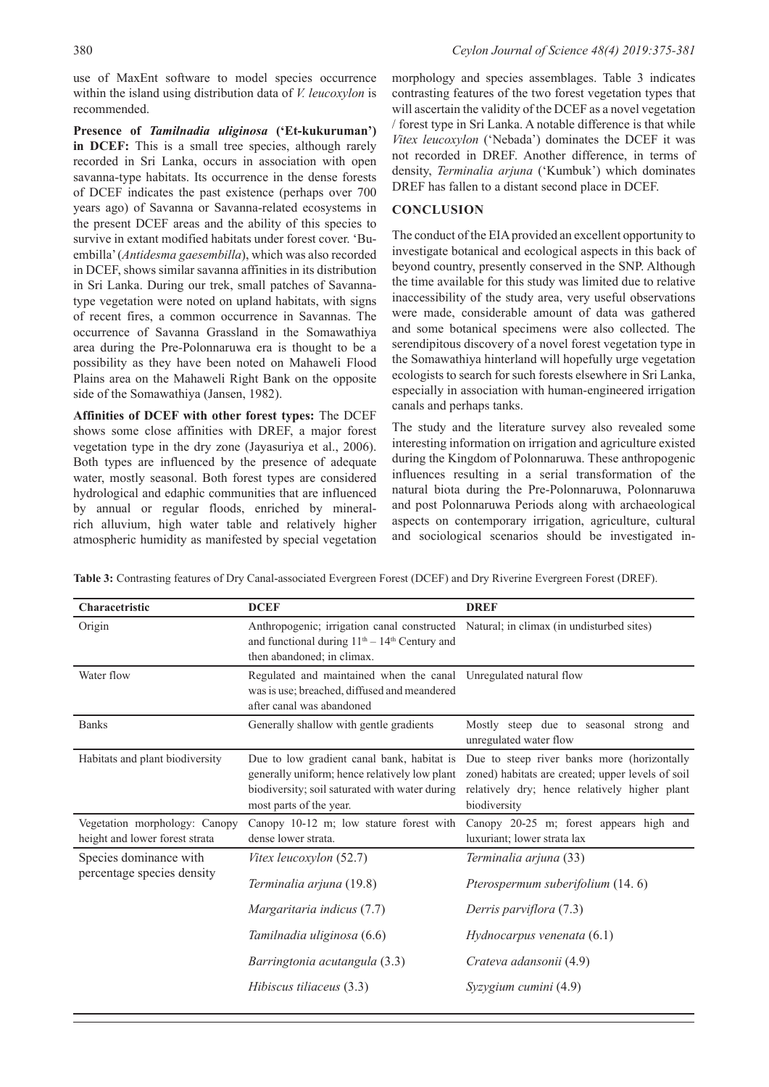use of MaxEnt software to model species occurrence within the island using distribution data of *V. leucoxylon* is recommended.

**Presence of** *Tamilnadia uliginosa* **('Et-kukuruman') in DCEF:** This is a small tree species, although rarely recorded in Sri Lanka, occurs in association with open savanna-type habitats. Its occurrence in the dense forests of DCEF indicates the past existence (perhaps over 700 years ago) of Savanna or Savanna-related ecosystems in the present DCEF areas and the ability of this species to survive in extant modified habitats under forest cover. 'Buembilla' (*Antidesma gaesembilla*), which was also recorded in DCEF, shows similar savanna affinities in its distribution in Sri Lanka. During our trek, small patches of Savannatype vegetation were noted on upland habitats, with signs of recent fires, a common occurrence in Savannas. The occurrence of Savanna Grassland in the Somawathiya area during the Pre-Polonnaruwa era is thought to be a possibility as they have been noted on Mahaweli Flood Plains area on the Mahaweli Right Bank on the opposite side of the Somawathiya (Jansen, 1982).

**Affinities of DCEF with other forest types:** The DCEF shows some close affinities with DREF, a major forest vegetation type in the dry zone (Jayasuriya et al., 2006). Both types are influenced by the presence of adequate water, mostly seasonal. Both forest types are considered hydrological and edaphic communities that are influenced by annual or regular floods, enriched by mineralrich alluvium, high water table and relatively higher atmospheric humidity as manifested by special vegetation

morphology and species assemblages. Table 3 indicates contrasting features of the two forest vegetation types that will ascertain the validity of the DCEF as a novel vegetation / forest type in Sri Lanka. A notable difference is that while *Vitex leucoxylon* ('Nebada') dominates the DCEF it was not recorded in DREF. Another difference, in terms of density, *Terminalia arjuna* ('Kumbuk') which dominates DREF has fallen to a distant second place in DCEF.

### **CONCLUSION**

The conduct of the EIA provided an excellent opportunity to investigate botanical and ecological aspects in this back of beyond country, presently conserved in the SNP. Although the time available for this study was limited due to relative inaccessibility of the study area, very useful observations were made, considerable amount of data was gathered and some botanical specimens were also collected. The serendipitous discovery of a novel forest vegetation type in the Somawathiya hinterland will hopefully urge vegetation ecologists to search for such forests elsewhere in Sri Lanka, especially in association with human-engineered irrigation canals and perhaps tanks.

The study and the literature survey also revealed some interesting information on irrigation and agriculture existed during the Kingdom of Polonnaruwa. These anthropogenic influences resulting in a serial transformation of the natural biota during the Pre-Polonnaruwa, Polonnaruwa and post Polonnaruwa Periods along with archaeological aspects on contemporary irrigation, agriculture, cultural and sociological scenarios should be investigated in-

**Table 3:** Contrasting features of Dry Canal-associated Evergreen Forest (DCEF) and Dry Riverine Evergreen Forest (DREF).

| Characetristic                                                  | <b>DCEF</b>                                                                                                                                                                                  | <b>DREF</b>                                                                                                                                                                                                  |
|-----------------------------------------------------------------|----------------------------------------------------------------------------------------------------------------------------------------------------------------------------------------------|--------------------------------------------------------------------------------------------------------------------------------------------------------------------------------------------------------------|
| Origin                                                          | Anthropogenic; irrigation canal constructed Natural; in climax (in undisturbed sites)<br>and functional during 11 <sup>th</sup> - 14 <sup>th</sup> Century and<br>then abandoned; in climax. |                                                                                                                                                                                                              |
| Water flow                                                      | Regulated and maintained when the canal Unregulated natural flow<br>was is use; breached, diffused and meandered<br>after canal was abandoned                                                |                                                                                                                                                                                                              |
| <b>Banks</b>                                                    | Generally shallow with gentle gradients                                                                                                                                                      | Mostly steep due to seasonal strong and<br>unregulated water flow                                                                                                                                            |
| Habitats and plant biodiversity                                 | generally uniform; hence relatively low plant<br>biodiversity; soil saturated with water during<br>most parts of the year.                                                                   | Due to low gradient canal bank, habitat is Due to steep river banks more (horizontally<br>zoned) habitats are created; upper levels of soil<br>relatively dry; hence relatively higher plant<br>biodiversity |
| Vegetation morphology: Canopy<br>height and lower forest strata | Canopy 10-12 m; low stature forest with<br>dense lower strata.                                                                                                                               | Canopy 20-25 m; forest appears high and<br>luxuriant; lower strata lax                                                                                                                                       |
| Species dominance with<br>percentage species density            | Vitex leucoxylon (52.7)<br>Terminalia arjuna (19.8)                                                                                                                                          | Terminalia arjuna (33)<br>Pterospermum suberifolium (14.6)                                                                                                                                                   |
|                                                                 | Margaritaria indicus (7.7)                                                                                                                                                                   | Derris parviflora (7.3)                                                                                                                                                                                      |
|                                                                 | Tamilnadia uliginosa (6.6)                                                                                                                                                                   | Hydnocarpus venenata $(6.1)$                                                                                                                                                                                 |
|                                                                 | Barringtonia acutangula (3.3)                                                                                                                                                                | Crateva adansonii (4.9)                                                                                                                                                                                      |
|                                                                 | Hibiscus tiliaceus (3.3)                                                                                                                                                                     | Syzygium cumini (4.9)                                                                                                                                                                                        |